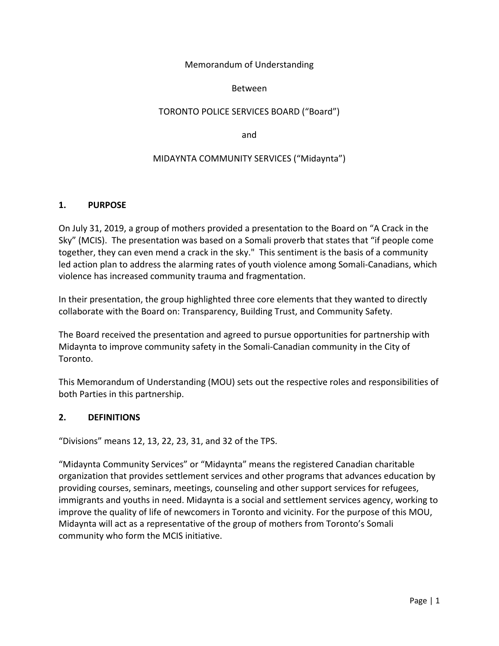## Memorandum of Understanding

## Between

## TORONTO POLICE SERVICES BOARD ("Board")

and

## MIDAYNTA COMMUNITY SERVICES ("Midaynta")

## **1. PURPOSE**

On July 31, 2019, a group of mothers provided a presentation to the Board on "A Crack in the Sky" (MCIS). The presentation was based on a Somali proverb that states that "if people come together, they can even mend a crack in the sky." This sentiment is the basis of a community led action plan to address the alarming rates of youth violence among Somali‐Canadians, which violence has increased community trauma and fragmentation.

In their presentation, the group highlighted three core elements that they wanted to directly collaborate with the Board on: Transparency, Building Trust, and Community Safety.

The Board received the presentation and agreed to pursue opportunities for partnership with Midaynta to improve community safety in the Somali‐Canadian community in the City of Toronto.

This Memorandum of Understanding (MOU) sets out the respective roles and responsibilities of both Parties in this partnership.

## **2. DEFINITIONS**

"Divisions" means 12, 13, 22, 23, 31, and 32 of the TPS.

"Midaynta Community Services" or "Midaynta" means the registered Canadian charitable organization that provides settlement services and other programs that advances education by providing courses, seminars, meetings, counseling and other support services for refugees, immigrants and youths in need. Midaynta is a social and settlement services agency, working to improve the quality of life of newcomers in Toronto and vicinity. For the purpose of this MOU, Midaynta will act as a representative of the group of mothers from Toronto's Somali community who form the MCIS initiative.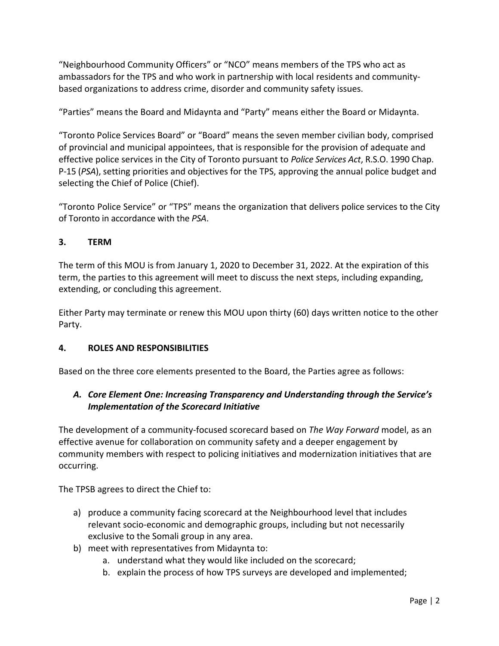"Neighbourhood Community Officers" or "NCO" means members of the TPS who act as ambassadors for the TPS and who work in partnership with local residents and community‐ based organizations to address crime, disorder and community safety issues.

"Parties" means the Board and Midaynta and "Party" means either the Board or Midaynta.

"Toronto Police Services Board" or "Board" means the seven member civilian body, comprised of provincial and municipal appointees, that is responsible for the provision of adequate and effective police services in the City of Toronto pursuant to *Police Services Act*, R.S.O. 1990 Chap. P‐15 (*PSA*), setting priorities and objectives for the TPS, approving the annual police budget and selecting the Chief of Police (Chief).

"Toronto Police Service" or "TPS" means the organization that delivers police services to the City of Toronto in accordance with the *PSA*.

# **3. TERM**

The term of this MOU is from January 1, 2020 to December 31, 2022. At the expiration of this term, the parties to this agreement will meet to discuss the next steps, including expanding, extending, or concluding this agreement.

Either Party may terminate or renew this MOU upon thirty (60) days written notice to the other Party.

## **4. ROLES AND RESPONSIBILITIES**

Based on the three core elements presented to the Board, the Parties agree as follows:

# *A. Core Element One: Increasing Transparency and Understanding through the Service's Implementation of the Scorecard Initiative*

The development of a community‐focused scorecard based on *The Way Forward* model, as an effective avenue for collaboration on community safety and a deeper engagement by community members with respect to policing initiatives and modernization initiatives that are occurring.

The TPSB agrees to direct the Chief to:

- a) produce a community facing scorecard at the Neighbourhood level that includes relevant socio‐economic and demographic groups, including but not necessarily exclusive to the Somali group in any area.
- b) meet with representatives from Midaynta to:
	- a. understand what they would like included on the scorecard;
	- b. explain the process of how TPS surveys are developed and implemented;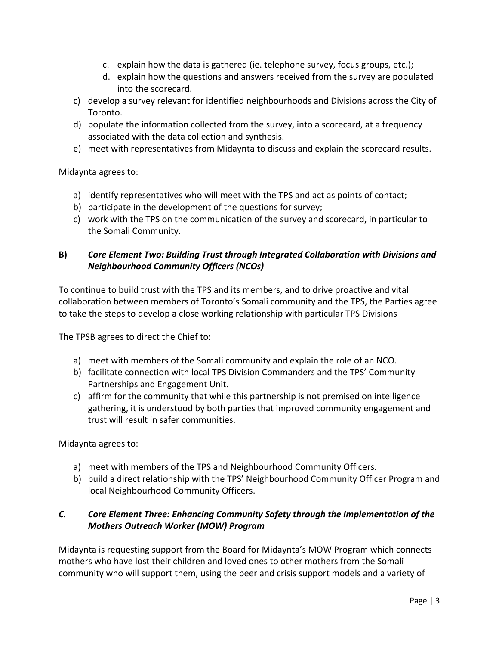- c. explain how the data is gathered (ie. telephone survey, focus groups, etc.);
- d. explain how the questions and answers received from the survey are populated into the scorecard.
- c) develop a survey relevant for identified neighbourhoods and Divisions across the City of Toronto.
- d) populate the information collected from the survey, into a scorecard, at a frequency associated with the data collection and synthesis.
- e) meet with representatives from Midaynta to discuss and explain the scorecard results.

Midaynta agrees to:

- a) identify representatives who will meet with the TPS and act as points of contact;
- b) participate in the development of the questions for survey;
- c) work with the TPS on the communication of the survey and scorecard, in particular to the Somali Community.

# **B)** *Core Element Two: Building Trust through Integrated Collaboration with Divisions and Neighbourhood Community Officers (NCOs)*

To continue to build trust with the TPS and its members, and to drive proactive and vital collaboration between members of Toronto's Somali community and the TPS, the Parties agree to take the steps to develop a close working relationship with particular TPS Divisions

The TPSB agrees to direct the Chief to:

- a) meet with members of the Somali community and explain the role of an NCO.
- b) facilitate connection with local TPS Division Commanders and the TPS' Community Partnerships and Engagement Unit.
- c) affirm for the community that while this partnership is not premised on intelligence gathering, it is understood by both parties that improved community engagement and trust will result in safer communities.

Midaynta agrees to:

- a) meet with members of the TPS and Neighbourhood Community Officers.
- b) build a direct relationship with the TPS' Neighbourhood Community Officer Program and local Neighbourhood Community Officers.

# *C. Core Element Three: Enhancing Community Safety through the Implementation of the Mothers Outreach Worker (MOW) Program*

Midaynta is requesting support from the Board for Midaynta's MOW Program which connects mothers who have lost their children and loved ones to other mothers from the Somali community who will support them, using the peer and crisis support models and a variety of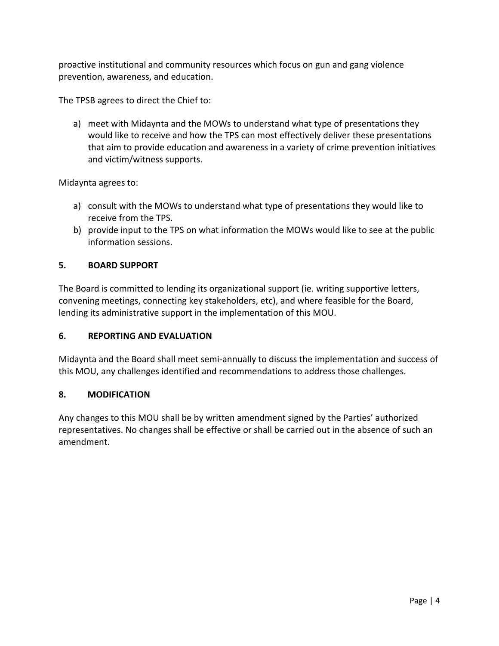proactive institutional and community resources which focus on gun and gang violence prevention, awareness, and education.

The TPSB agrees to direct the Chief to:

a) meet with Midaynta and the MOWs to understand what type of presentations they would like to receive and how the TPS can most effectively deliver these presentations that aim to provide education and awareness in a variety of crime prevention initiatives and victim/witness supports.

Midaynta agrees to:

- a) consult with the MOWs to understand what type of presentations they would like to receive from the TPS.
- b) provide input to the TPS on what information the MOWs would like to see at the public information sessions.

#### **5. BOARD SUPPORT**

The Board is committed to lending its organizational support (ie. writing supportive letters, convening meetings, connecting key stakeholders, etc), and where feasible for the Board, lending its administrative support in the implementation of this MOU.

## **6. REPORTING AND EVALUATION**

Midaynta and the Board shall meet semi‐annually to discuss the implementation and success of this MOU, any challenges identified and recommendations to address those challenges.

## **8. MODIFICATION**

Any changes to this MOU shall be by written amendment signed by the Parties' authorized representatives. No changes shall be effective or shall be carried out in the absence of such an amendment.